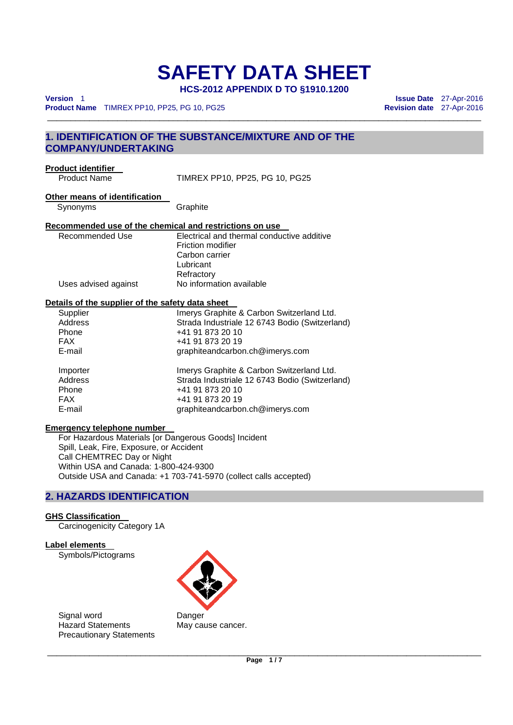# **SAFETY DATA SHEET**

**HCS-2012 APPENDIX D TO §1910.1200** 

**Product Name** TIMREX PP10, PP25, PG 10, PG25 \_\_\_\_\_\_\_\_\_\_\_\_\_\_\_\_\_\_\_\_\_\_\_\_\_\_\_\_\_\_\_\_\_\_\_\_\_\_\_\_\_\_\_\_\_\_\_\_\_\_\_\_\_\_\_\_\_\_\_\_\_\_\_\_\_\_\_\_\_\_\_\_\_\_\_\_\_\_\_\_\_\_\_\_\_\_\_\_\_\_\_\_\_

**Version** 1 **Issue Date** 27-Apr-2016<br>**Product Name** TIMREX PP10, PP25, PG 10, PG25 **ISSUE 27-Apr-2016 Revision date** 27-Apr-2016

# **1. IDENTIFICATION OF THE SUBSTANCE/MIXTURE AND OF THE COMPANY/UNDERTAKING**

## **Product identifier**

Product Name TIMREX PP10, PP25, PG 10, PG25

# **Other means of identification**

Synonyms Graphite

## **Recommended use of the chemical and restrictions on use**

| Recommended Use      | Electrical and thermal conductive additive |
|----------------------|--------------------------------------------|
|                      | <b>Friction modifier</b>                   |
|                      | Carbon carrier                             |
|                      | Lubricant                                  |
|                      | Refractory                                 |
| Uses advised against | No information available                   |

# **Details of the supplier of the safety data sheet**

| Supplier   | Imerys Graphite & Carbon Switzerland Ltd.      |
|------------|------------------------------------------------|
| Address    | Strada Industriale 12 6743 Bodio (Switzerland) |
| Phone      | +41 91 873 20 10                               |
| <b>FAX</b> | +41 91 873 20 19                               |
| E-mail     | graphiteandcarbon.ch@imerys.com                |
| Importer   | Imerys Graphite & Carbon Switzerland Ltd.      |
| Address    | Strada Industriale 12 6743 Bodio (Switzerland) |
| Phone      | +41 91 873 20 10                               |
| <b>FAX</b> | +41 91 873 20 19                               |
| E-mail     | graphiteandcarbon.ch@imerys.com                |

# **Emergency telephone number**

For Hazardous Materials [or Dangerous Goods] Incident Spill, Leak, Fire, Exposure, or Accident Call CHEMTREC Day or Night Within USA and Canada: 1-800-424-9300 Outside USA and Canada: +1 703-741-5970 (collect calls accepted)

# **2. HAZARDS IDENTIFICATION**

# **GHS Classification**

Carcinogenicity Category 1A

**Label elements** 

Symbols/Pictograms

Signal word Danger Hazard Statements May cause cancer. Precautionary Statements

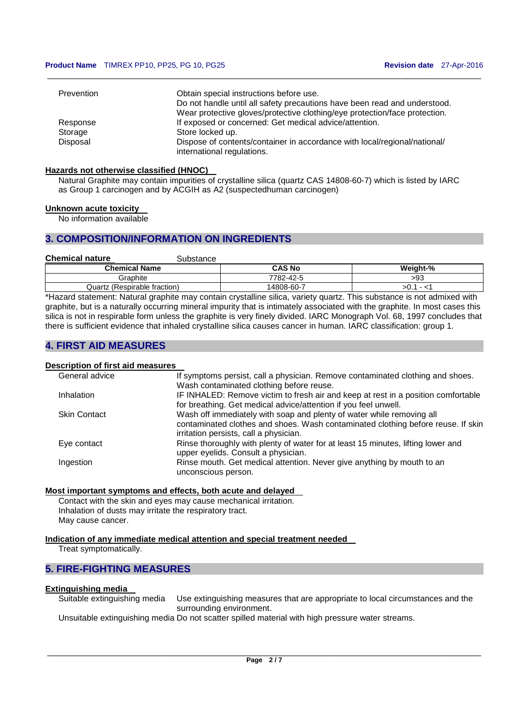| Prevention | Obtain special instructions before use.                                    |  |  |  |
|------------|----------------------------------------------------------------------------|--|--|--|
|            | Do not handle until all safety precautions have been read and understood.  |  |  |  |
|            | Wear protective gloves/protective clothing/eye protection/face protection. |  |  |  |
| Response   | If exposed or concerned: Get medical advice/attention.                     |  |  |  |
| Storage    | Store locked up.                                                           |  |  |  |
| Disposal   | Dispose of contents/container in accordance with local/regional/national/  |  |  |  |
|            | international regulations.                                                 |  |  |  |

\_\_\_\_\_\_\_\_\_\_\_\_\_\_\_\_\_\_\_\_\_\_\_\_\_\_\_\_\_\_\_\_\_\_\_\_\_\_\_\_\_\_\_\_\_\_\_\_\_\_\_\_\_\_\_\_\_\_\_\_\_\_\_\_\_\_\_\_\_\_\_\_\_\_\_\_\_\_\_\_\_\_\_\_\_\_\_\_\_\_\_\_\_

#### **Hazards not otherwise classified (HNOC)**

Natural Graphite may contain impurities of crystalline silica (quartz CAS 14808-60-7) which is listed by IARC as Group 1 carcinogen and by ACGIH as A2 (suspectedhuman carcinogen)

#### **Unknown acute toxicity**

No information available

# **3. COMPOSITION/INFORMATION ON INGREDIENTS**

| <b>Chemical nature</b>       | Substance |               |              |
|------------------------------|-----------|---------------|--------------|
| <b>Chemical Name</b>         |           | <b>CAS No</b> | Weight-%     |
| Graphite                     |           | 7782-42-5     | >93          |
| Quartz (Respirable fraction) |           | 14808-60-7    | >0.1<br>بم - |

\*Hazard statement: Natural graphite may contain crystalline silica, variety quartz. This substance is not admixed with graphite, but is a naturally occurring mineral impurity that is intimately associated with the graphite. In most cases this silica is not in respirable form unless the graphite is very finely divided. IARC Monograph Vol. 68, 1997 concludes that there is sufficient evidence that inhaled crystalline silica causes cancer in human. IARC classification: group 1.

# **4. FIRST AID MEASURES**

# **Description of first aid measures**

| General advice      | If symptoms persist, call a physician. Remove contaminated clothing and shoes.                                                                                                                      |
|---------------------|-----------------------------------------------------------------------------------------------------------------------------------------------------------------------------------------------------|
|                     | Wash contaminated clothing before reuse.                                                                                                                                                            |
| Inhalation          | IF INHALED: Remove victim to fresh air and keep at rest in a position comfortable<br>for breathing. Get medical advice/attention if you feel unwell.                                                |
| <b>Skin Contact</b> | Wash off immediately with soap and plenty of water while removing all<br>contaminated clothes and shoes. Wash contaminated clothing before reuse. If skin<br>irritation persists, call a physician. |
| Eye contact         | Rinse thoroughly with plenty of water for at least 15 minutes, lifting lower and<br>upper eyelids. Consult a physician.                                                                             |
| Ingestion           | Rinse mouth. Get medical attention. Never give anything by mouth to an<br>unconscious person.                                                                                                       |

## **Most important symptoms and effects, both acute and delayed**

Contact with the skin and eyes may cause mechanical irritation. Inhalation of dusts may irritate the respiratory tract. May cause cancer.

**Indication of any immediate medical attention and special treatment needed** 

Treat symptomatically.

# **5. FIRE-FIGHTING MEASURES**

## **Extinguishing media**

Suitable extinguishing media Use extinguishing measures that are appropriate to local circumstances and the surrounding environment.

Unsuitable extinguishing media Do not scatter spilled material with high pressure water streams.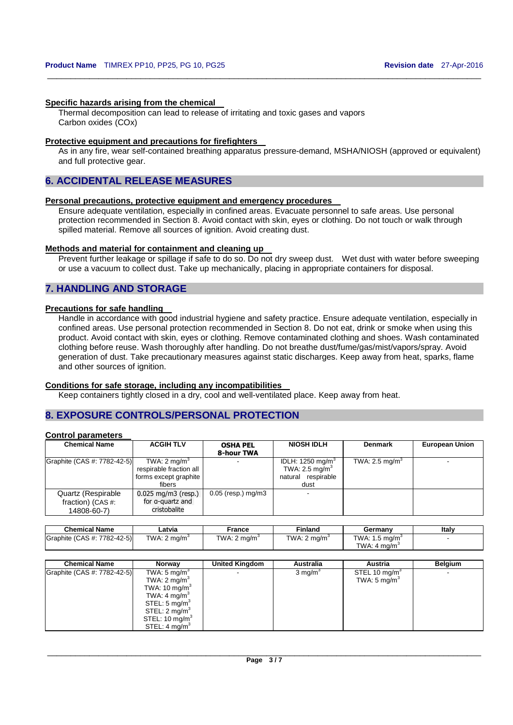## **Specific hazards arising from the chemical**

Thermal decomposition can lead to release of irritating and toxic gases and vapors Carbon oxides (COx)

#### **Protective equipment and precautions for firefighters**

As in any fire, wear self-contained breathing apparatus pressure-demand, MSHA/NIOSH (approved or equivalent) and full protective gear.

\_\_\_\_\_\_\_\_\_\_\_\_\_\_\_\_\_\_\_\_\_\_\_\_\_\_\_\_\_\_\_\_\_\_\_\_\_\_\_\_\_\_\_\_\_\_\_\_\_\_\_\_\_\_\_\_\_\_\_\_\_\_\_\_\_\_\_\_\_\_\_\_\_\_\_\_\_\_\_\_\_\_\_\_\_\_\_\_\_\_\_\_\_

# **6. ACCIDENTAL RELEASE MEASURES**

#### **Personal precautions, protective equipment and emergency procedures**

Ensure adequate ventilation, especially in confined areas. Evacuate personnel to safe areas. Use personal protection recommended in Section 8. Avoid contact with skin, eyes or clothing. Do not touch or walk through spilled material. Remove all sources of ignition. Avoid creating dust.

## **Methods and material for containment and cleaning up**

Prevent further leakage or spillage if safe to do so. Do not dry sweep dust. Wet dust with water before sweeping or use a vacuum to collect dust. Take up mechanically, placing in appropriate containers for disposal.

# **7. HANDLING AND STORAGE**

## **Precautions for safe handling**

Handle in accordance with good industrial hygiene and safety practice. Ensure adequate ventilation, especially in confined areas. Use personal protection recommended in Section 8. Do not eat, drink or smoke when using this product. Avoid contact with skin, eyes or clothing. Remove contaminated clothing and shoes. Wash contaminated clothing before reuse. Wash thoroughly after handling. Do not breathe dust/fume/gas/mist/vapors/spray. Avoid generation of dust. Take precautionary measures against static discharges. Keep away from heat, sparks, flame and other sources of ignition.

#### **Conditions for safe storage, including any incompatibilities**

Keep containers tightly closed in a dry, cool and well-ventilated place. Keep away from heat.

# **8. EXPOSURE CONTROLS/PERSONAL PROTECTION**

#### **Control parameters**

| <b>Chemical Name</b>                                      | <b>ACGIH TLV</b>                                                                      | <b>OSHA PEL</b>         | <b>NIOSH IDLH</b>                                                              | <b>Denmark</b>            | <b>European Union</b> |
|-----------------------------------------------------------|---------------------------------------------------------------------------------------|-------------------------|--------------------------------------------------------------------------------|---------------------------|-----------------------|
|                                                           |                                                                                       | 8-hour TWA              |                                                                                |                           |                       |
| Graphite (CAS #: 7782-42-5)                               | TWA: $2 \text{ mg/m}^3$<br>respirable fraction all<br>forms except graphite<br>fibers |                         | IDLH: 1250 mg/m $3$<br>TWA: $2.5 \text{ mg/m}^3$<br>natural respirable<br>dust | TWA: $2.5 \text{ mg/m}^3$ |                       |
| Quartz (Respirable<br>fraction) (CAS $#$ :<br>14808-60-7) | $0.025$ mg/m3 (resp.)<br>for a-quartz and<br>cristobalite                             | $0.05$ (resp.) mg/m $3$ |                                                                                |                           |                       |

| <b>Chemical Name</b>        | -atvia                  | France                   | Finland                 | Germanv                    | Italv |
|-----------------------------|-------------------------|--------------------------|-------------------------|----------------------------|-------|
| Graphite (CAS #: 7782-42-5) | TWA: $2 \text{ ma/m}^3$ | TWA: 2 ma/m <sup>3</sup> | TWA: $2 \text{ ma/m}^3$ | TWA: 1.5 mg/m <sup>3</sup> |       |
|                             |                         |                          |                         | TWA: 4 ma/m <sup>3</sup>   |       |

| <b>Chemical Name</b>        | Norway                    | <b>United Kingdom</b> | Australia          | Austria                   | <b>Belgium</b> |
|-----------------------------|---------------------------|-----------------------|--------------------|---------------------------|----------------|
| Graphite (CAS #: 7782-42-5) | TWA: 5 mg/m <sup>3</sup>  |                       | $3 \text{ mg/m}^3$ | STEL 10 mg/m <sup>3</sup> |                |
|                             | TWA: $2 \text{ mg/m}^3$   |                       |                    | TWA: $5 \text{ mg/m}^3$   |                |
|                             | TWA: $10 \text{ mg/m}^3$  |                       |                    |                           |                |
|                             | TWA: $4 \text{ mg/m}^3$   |                       |                    |                           |                |
|                             | STEL: 5 mg/m <sup>3</sup> |                       |                    |                           |                |
|                             | STEL: $2 \text{ mg/m}^3$  |                       |                    |                           |                |
|                             | STEL: $10 \text{ mg/m}^3$ |                       |                    |                           |                |
|                             | STEL: $4 \text{ mg/m}^3$  |                       |                    |                           |                |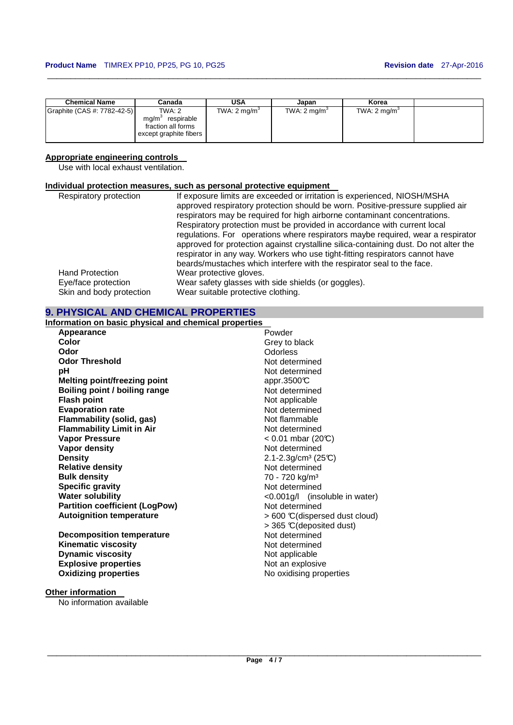| <b>Chemical Name</b>        | Canada                                                                        | <b>USA</b>              | Japan                   | Korea                   |  |
|-----------------------------|-------------------------------------------------------------------------------|-------------------------|-------------------------|-------------------------|--|
| Graphite (CAS #: 7782-42-5) | TWA: 2<br>respirable<br>mg/m`<br>fraction all forms<br>except graphite fibers | TWA: $2 \text{ mg/m}^3$ | TWA: $2 \text{ mg/m}^3$ | TWA: $2 \text{ mg/m}^3$ |  |

\_\_\_\_\_\_\_\_\_\_\_\_\_\_\_\_\_\_\_\_\_\_\_\_\_\_\_\_\_\_\_\_\_\_\_\_\_\_\_\_\_\_\_\_\_\_\_\_\_\_\_\_\_\_\_\_\_\_\_\_\_\_\_\_\_\_\_\_\_\_\_\_\_\_\_\_\_\_\_\_\_\_\_\_\_\_\_\_\_\_\_\_\_

# **Appropriate engineering controls**

Use with local exhaust ventilation.

## **Individual protection measures, such as personal protective equipment**

| If exposure limits are exceeded or irritation is experienced, NIOSH/MSHA<br>approved respiratory protection should be worn. Positive-pressure supplied air<br>respirators may be required for high airborne contaminant concentrations.<br>Respiratory protection must be provided in accordance with current local<br>regulations. For operations where respirators maybe required, wear a respirator<br>approved for protection against crystalline silica-containing dust. Do not alter the<br>respirator in any way. Workers who use tight-fitting respirators cannot have<br>beards/mustaches which interfere with the respirator seal to the face. |
|----------------------------------------------------------------------------------------------------------------------------------------------------------------------------------------------------------------------------------------------------------------------------------------------------------------------------------------------------------------------------------------------------------------------------------------------------------------------------------------------------------------------------------------------------------------------------------------------------------------------------------------------------------|
| Wear protective gloves.                                                                                                                                                                                                                                                                                                                                                                                                                                                                                                                                                                                                                                  |
| Wear safety glasses with side shields (or goggles).<br>Wear suitable protective clothing.                                                                                                                                                                                                                                                                                                                                                                                                                                                                                                                                                                |
|                                                                                                                                                                                                                                                                                                                                                                                                                                                                                                                                                                                                                                                          |

# **9. PHYSICAL AND CHEMICAL PROPERTIES**

**Information on basic physical and chemical properties** 

| Appearance                            | Powder                               |
|---------------------------------------|--------------------------------------|
| Color                                 | Grey to black                        |
| Odor                                  | <b>Odorless</b>                      |
| <b>Odor Threshold</b>                 | Not determined                       |
| рH                                    | Not determined                       |
| <b>Melting point/freezing point</b>   | appr.3500 $\mathbb{C}$               |
| Boiling point / boiling range         | Not determined                       |
| <b>Flash point</b>                    | Not applicable                       |
| <b>Evaporation rate</b>               | Not determined                       |
| <b>Flammability (solid, gas)</b>      | Not flammable                        |
| <b>Flammability Limit in Air</b>      | Not determined                       |
| <b>Vapor Pressure</b>                 | $< 0.01$ mbar (20°C)                 |
| Vapor density                         | Not determined                       |
| <b>Density</b>                        | $2.1 - 2.3$ g/cm <sup>3</sup> (25°C) |
| <b>Relative density</b>               | Not determined                       |
| <b>Bulk density</b>                   | 70 - 720 kg/m <sup>3</sup>           |
| <b>Specific gravity</b>               | Not determined                       |
| <b>Water solubility</b>               | <0.001g/l (insoluble in water)       |
| <b>Partition coefficient (LogPow)</b> | Not determined                       |
| <b>Autoignition temperature</b>       | > 600 °C (dispersed dust cloud)      |
|                                       | $>$ 365 °C (deposited dust)          |
| <b>Decomposition temperature</b>      | Not determined                       |
| <b>Kinematic viscosity</b>            | Not determined                       |
| <b>Dynamic viscosity</b>              | Not applicable                       |
| <b>Explosive properties</b>           | Not an explosive                     |
| <b>Oxidizing properties</b>           | No oxidising properties              |

# **Other information**

No information available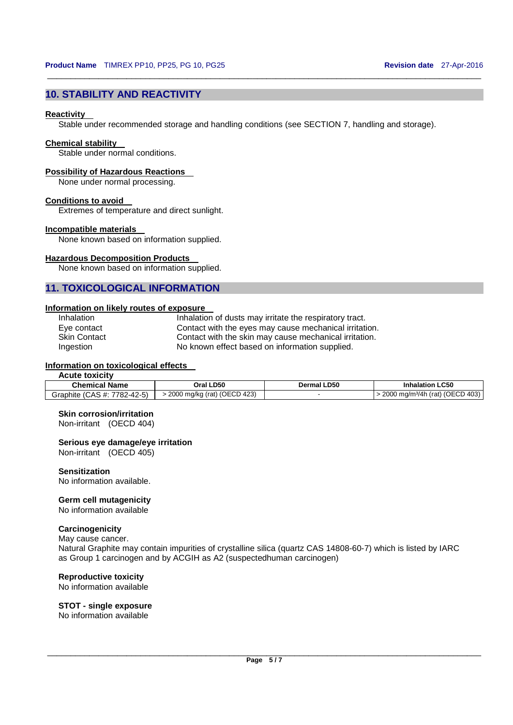# **10. STABILITY AND REACTIVITY**

## **Reactivity**

Stable under recommended storage and handling conditions (see SECTION 7, handling and storage).

\_\_\_\_\_\_\_\_\_\_\_\_\_\_\_\_\_\_\_\_\_\_\_\_\_\_\_\_\_\_\_\_\_\_\_\_\_\_\_\_\_\_\_\_\_\_\_\_\_\_\_\_\_\_\_\_\_\_\_\_\_\_\_\_\_\_\_\_\_\_\_\_\_\_\_\_\_\_\_\_\_\_\_\_\_\_\_\_\_\_\_\_\_

#### **Chemical stability**

Stable under normal conditions.

## **Possibility of Hazardous Reactions**

None under normal processing.

## **Conditions to avoid**

Extremes of temperature and direct sunlight.

#### **Incompatible materials**

None known based on information supplied.

#### **Hazardous Decomposition Products**

None known based on information supplied.

# **11. TOXICOLOGICAL INFORMATION**

## **Information on likely routes of exposure**

| Inhalation   | Inhalation of dusts may irritate the respiratory tract. |
|--------------|---------------------------------------------------------|
| Eye contact  | Contact with the eyes may cause mechanical irritation.  |
| Skin Contact | Contact with the skin may cause mechanical irritation.  |
| Ingestion    | No known effect based on information supplied.          |

#### **Information on toxicological effects Acute toxicity**

| .                                                |                             |             |                                            |
|--------------------------------------------------|-----------------------------|-------------|--------------------------------------------|
| <b>Chemical Name</b>                             | .D50<br>วral                | Dermal LD50 | ՝ LC50<br><b>Innaiation L</b>              |
| 7782-42-5)<br>$\sim$ $\mu$ .<br>Graphite<br>LAS. | 2000 mg/kg (rat) (OECD 423) |             | 2000<br>CD 403)<br>°0 mg/m¾4h (rat) (OECD) |

## **Skin corrosion/irritation**

Non-irritant (OECD 404)

#### **Serious eye damage/eye irritation**

Non-irritant (OECD 405)

#### **Sensitization**

No information available.

#### **Germ cell mutagenicity**

No information available

#### **Carcinogenicity**

# May cause cancer.

Natural Graphite may contain impurities of crystalline silica (quartz CAS 14808-60-7) which is listed by IARC as Group 1 carcinogen and by ACGIH as A2 (suspectedhuman carcinogen)

## **Reproductive toxicity**

No information available

#### **STOT - single exposure**

No information available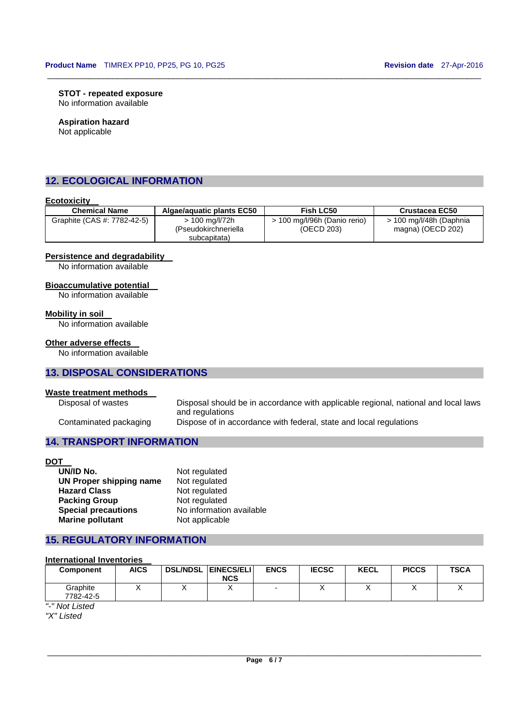**STOT - repeated exposure** No information available

## **Aspiration hazard**

Not applicable

# **12. ECOLOGICAL INFORMATION**

## **Ecotoxicity**

| <b>Chemical Name</b>        | Algae/aguatic plants EC50                              | Fish LC50                                  | Crustacea EC50                               |
|-----------------------------|--------------------------------------------------------|--------------------------------------------|----------------------------------------------|
| Graphite (CAS #: 7782-42-5) | > 100 mg/l/72h<br>(Pseudokirchneriella<br>subcapitata) | > 100 mg/l/96h (Danio rerio)<br>(OECD 203) | > 100 mg/l/48h (Daphnia<br>magna) (OECD 202) |

\_\_\_\_\_\_\_\_\_\_\_\_\_\_\_\_\_\_\_\_\_\_\_\_\_\_\_\_\_\_\_\_\_\_\_\_\_\_\_\_\_\_\_\_\_\_\_\_\_\_\_\_\_\_\_\_\_\_\_\_\_\_\_\_\_\_\_\_\_\_\_\_\_\_\_\_\_\_\_\_\_\_\_\_\_\_\_\_\_\_\_\_\_

# **Persistence and degradability**

No information available

# **Bioaccumulative potential**

No information available

## **Mobility in soil**

No information available

## **Other adverse effects**

No information available

# **13. DISPOSAL CONSIDERATIONS**

## **Waste treatment methods**

Disposal of wastes Disposal should be in accordance with applicable regional, national and local laws and regulations Contaminated packaging Dispose of in accordance with federal, state and local regulations

# **14. TRANSPORT INFORMATION**

## **DOT**

| UN/ID No.                  | Not regulated            |
|----------------------------|--------------------------|
| UN Proper shipping name    | Not regulated            |
| <b>Hazard Class</b>        | Not regulated            |
| <b>Packing Group</b>       | Not regulated            |
| <b>Special precautions</b> | No information available |
| <b>Marine pollutant</b>    | Not applicable           |

# **15. REGULATORY INFORMATION**

## **International Inventories**

| <b>Component</b>      | <b>AICS</b> | <b>DSL/NDSL</b> | <b>EINECS/ELL</b><br><b>NCS</b> | <b>ENCS</b>              | <b>IECSC</b> | <b>KECL</b> | <b>PICCS</b> | <b>TSCA</b> |
|-----------------------|-------------|-----------------|---------------------------------|--------------------------|--------------|-------------|--------------|-------------|
| Graphite<br>7782-42-5 |             | ∧               |                                 | $\overline{\phantom{0}}$ | "            | ↗           |              |             |
| "-" Not Listed        |             |                 |                                 |                          |              |             |              |             |

"X" Listed